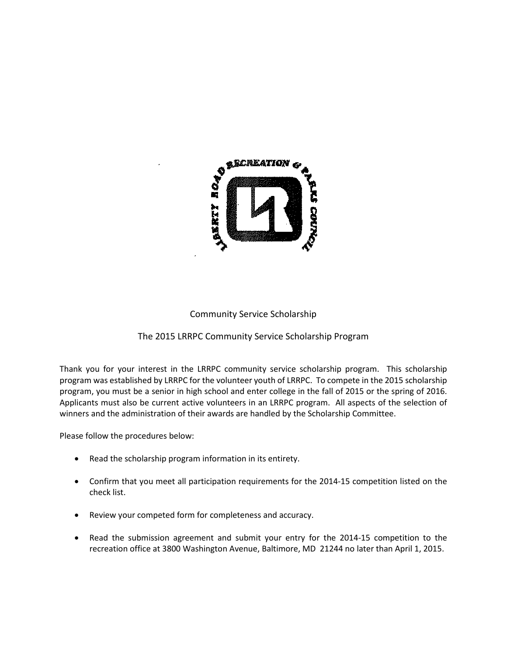

#### Community Service Scholarship

#### The 2015 LRRPC Community Service Scholarship Program

Thank you for your interest in the LRRPC community service scholarship program. This scholarship program was established by LRRPC for the volunteer youth of LRRPC. To compete in the 2015 scholarship program, you must be a senior in high school and enter college in the fall of 2015 or the spring of 2016. Applicants must also be current active volunteers in an LRRPC program. All aspects of the selection of winners and the administration of their awards are handled by the Scholarship Committee.

Please follow the procedures below:

- Read the scholarship program information in its entirety.
- Confirm that you meet all participation requirements for the 2014-15 competition listed on the check list.
- Review your competed form for completeness and accuracy.
- Read the submission agreement and submit your entry for the 2014-15 competition to the recreation office at 3800 Washington Avenue, Baltimore, MD 21244 no later than April 1, 2015.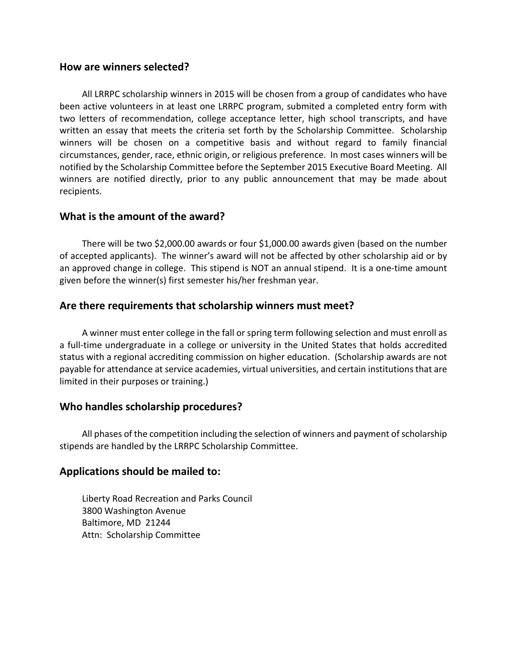#### **How are winners selected?**

All LRRPC scholarship winners in 2015 will be chosen from a group of candidates who have been active volunteers in at least one LRRPC program, submited a completed entry form with two letters of recommendation, college acceptance letter, high school transcripts, and have written an essay that meets the criteria set forth by the Scholarship Committee. Scholarship winners will be chosen on a competitive basis and without regard to family financial circumstances, gender, race, ethnic origin, or religious preference. In most cases winners will be notified by the Scholarship Committee before the September 2015 Executive Board Meeting. All winners are notified directly, prior to any public announcement that may be made about recipients.

#### **What is the amount of the award?**

There will be two \$2,000.00 awards or four \$1,000.00 awards given (based on the number of accepted applicants). The winner's award will not be affected by other scholarship aid or by an approved change in college. This stipend is NOT an annual stipend. It is a one-time amount given before the winner(s) first semester his/her freshman year.

#### **Are there requirements that scholarship winners must meet?**

A winner must enter college in the fall or spring term following selection and must enroll as a full-time undergraduate in a college or university in the United States that holds accredited status with a regional accrediting commission on higher education. (Scholarship awards are not payable for attendance at service academies, virtual universities, and certain institutions that are limited in their purposes or training.)

#### **Who handles scholarship procedures?**

All phases of the competition including the selection of winners and payment of scholarship stipends are handled by the LRRPC Scholarship Committee.

#### **Applications should be mailed to:**

Liberty Road Recreation and Parks Council 3800 Washington Avenue Baltimore, MD 21244 Attn: Scholarship Committee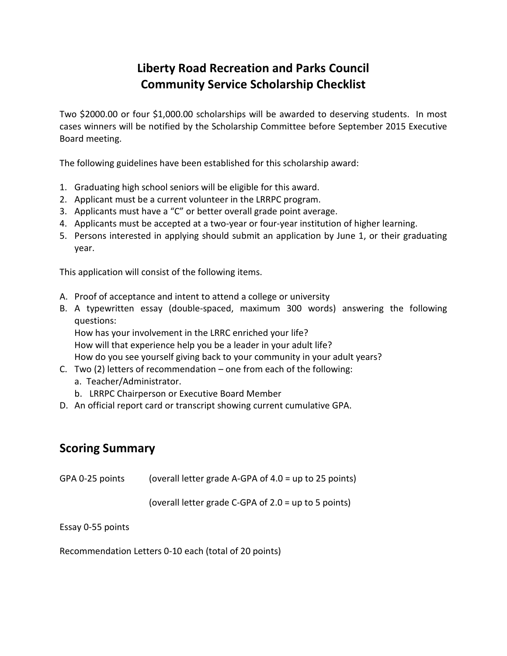# **Liberty Road Recreation and Parks Council Community Service Scholarship Checklist**

Two \$2000.00 or four \$1,000.00 scholarships will be awarded to deserving students. In most cases winners will be notified by the Scholarship Committee before September 2015 Executive Board meeting.

The following guidelines have been established for this scholarship award:

- 1. Graduating high school seniors will be eligible for this award.
- 2. Applicant must be a current volunteer in the LRRPC program.
- 3. Applicants must have a "C" or better overall grade point average.
- 4. Applicants must be accepted at a two-year or four-year institution of higher learning.
- 5. Persons interested in applying should submit an application by June 1, or their graduating year.

This application will consist of the following items.

- A. Proof of acceptance and intent to attend a college or university
- B. A typewritten essay (double-spaced, maximum 300 words) answering the following questions:

How has your involvement in the LRRC enriched your life? How will that experience help you be a leader in your adult life?

How do you see yourself giving back to your community in your adult years?

- C. Two (2) letters of recommendation one from each of the following:
	- a. Teacher/Administrator.
	- b. LRRPC Chairperson or Executive Board Member
- D. An official report card or transcript showing current cumulative GPA.

## **Scoring Summary**

| GPA 0-25 points | (overall letter grade A-GPA of 4.0 = up to 25 points) |  |
|-----------------|-------------------------------------------------------|--|
|                 |                                                       |  |

(overall letter grade C-GPA of 2.0 = up to 5 points)

Essay 0-55 points

Recommendation Letters 0-10 each (total of 20 points)